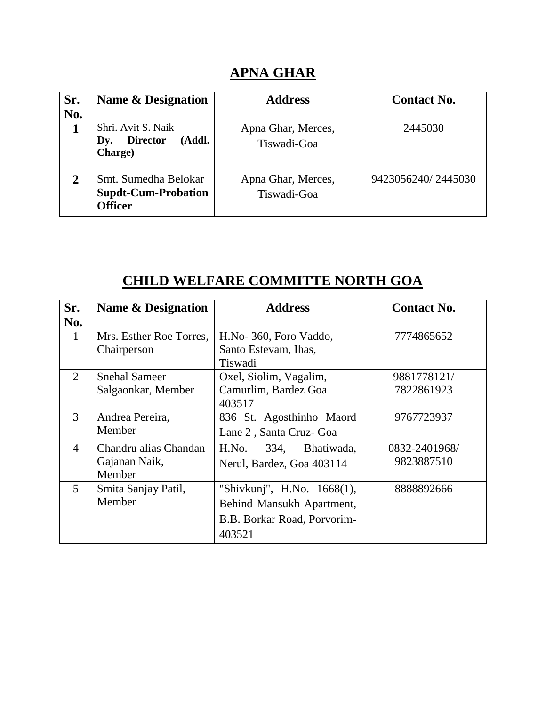## **APNA GHAR**

| Sr.<br>No.   | <b>Name &amp; Designation</b>                                        | <b>Address</b>                    | <b>Contact No.</b> |
|--------------|----------------------------------------------------------------------|-----------------------------------|--------------------|
| 1            | Shri. Avit S. Naik<br><b>Director</b><br>(Addl.<br>Dy.<br>Charge)    | Apna Ghar, Merces,<br>Tiswadi-Goa | 2445030            |
| $\mathbf{2}$ | Smt. Sumedha Belokar<br><b>Supdt-Cum-Probation</b><br><b>Officer</b> | Apna Ghar, Merces,<br>Tiswadi-Goa | 9423056240/2445030 |

# **CHILD WELFARE COMMITTE NORTH GOA**

| Sr.            | <b>Name &amp; Designation</b> | <b>Address</b>              | <b>Contact No.</b> |
|----------------|-------------------------------|-----------------------------|--------------------|
| No.            |                               |                             |                    |
| $\mathbf{1}$   | Mrs. Esther Roe Torres,       | H.No-360, Foro Vaddo,       | 7774865652         |
|                | Chairperson                   | Santo Estevam, Ihas,        |                    |
|                |                               | Tiswadi                     |                    |
| 2              | <b>Snehal Sameer</b>          | Oxel, Siolim, Vagalim,      | 9881778121/        |
|                | Salgaonkar, Member            | Camurlim, Bardez Goa        | 7822861923         |
|                |                               | 403517                      |                    |
| 3              | Andrea Pereira,               | 836 St. Agosthinho Maord    | 9767723937         |
|                | Member                        | Lane 2, Santa Cruz- Goa     |                    |
| $\overline{4}$ | Chandru alias Chandan         | H.No.<br>334,<br>Bhatiwada, | 0832-2401968/      |
|                | Gajanan Naik,                 | Nerul, Bardez, Goa 403114   | 9823887510         |
|                | Member                        |                             |                    |
| $\overline{5}$ | Smita Sanjay Patil,           | "Shivkunj", H.No. 1668(1),  | 888892666          |
|                | Member                        | Behind Mansukh Apartment,   |                    |
|                |                               | B.B. Borkar Road, Porvorim- |                    |
|                |                               | 403521                      |                    |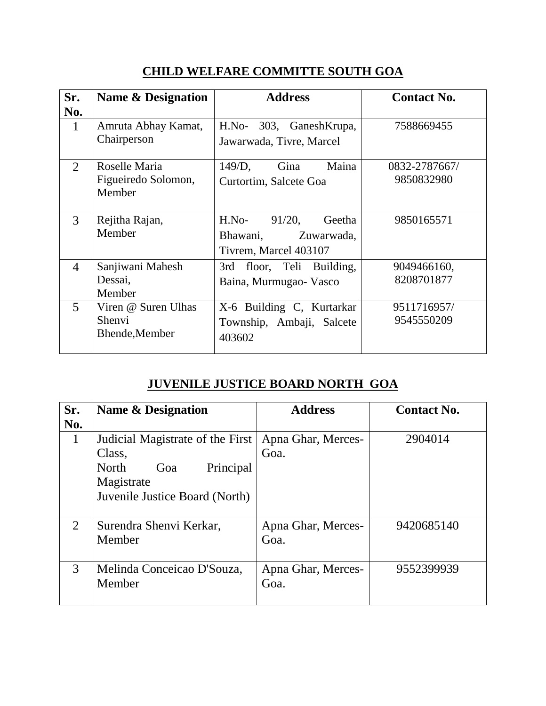## **CHILD WELFARE COMMITTE SOUTH GOA**

| Sr.            | <b>Name &amp; Designation</b> | <b>Address</b>                 | <b>Contact No.</b> |
|----------------|-------------------------------|--------------------------------|--------------------|
| No.            |                               |                                |                    |
| $\mathbf{1}$   | Amruta Abhay Kamat,           | $H.No-$<br>303, GaneshKrupa,   | 7588669455         |
|                | Chairperson                   | Jawarwada, Tivre, Marcel       |                    |
| $\overline{2}$ | Roselle Maria                 | Maina<br>$149/D$ ,<br>Gina     | 0832-2787667/      |
|                | Figueiredo Solomon,           | Curtortim, Salcete Goa         | 9850832980         |
|                | Member                        |                                |                    |
|                |                               |                                |                    |
| 3              | Rejitha Rajan,                | $H.No-$<br>$91/20$ ,<br>Geetha | 9850165571         |
|                | Member                        | Bhawani,<br>Zuwarwada,         |                    |
|                |                               | Tivrem, Marcel 403107          |                    |
| $\overline{4}$ | Sanjiwani Mahesh              | floor, Teli Building,<br>3rd   | 9049466160,        |
|                | Dessai,                       | Baina, Murmugao- Vasco         | 8208701877         |
|                | Member                        |                                |                    |
| 5              | Viren @ Suren Ulhas           | X-6 Building C, Kurtarkar      | 9511716957/        |
|                | Shenvi                        | Township, Ambaji, Salcete      | 9545550209         |
|                | Bhende, Member                | 403602                         |                    |
|                |                               |                                |                    |

### **JUVENILE JUSTICE BOARD NORTH GOA**

| Sr.<br>No.                  | Name & Designation                                                                                                      | <b>Address</b>             | <b>Contact No.</b> |
|-----------------------------|-------------------------------------------------------------------------------------------------------------------------|----------------------------|--------------------|
| 1                           | Judicial Magistrate of the First<br>Class,<br>North<br>Principal<br>Goa<br>Magistrate<br>Juvenile Justice Board (North) | Apna Ghar, Merces-<br>Goa. | 2904014            |
| $\mathcal{D}_{\mathcal{L}}$ | Surendra Shenvi Kerkar,<br>Member                                                                                       | Apna Ghar, Merces-<br>Goa. | 9420685140         |
| 3                           | Melinda Conceicao D'Souza,<br>Member                                                                                    | Apna Ghar, Merces-<br>Goa. | 9552399939         |